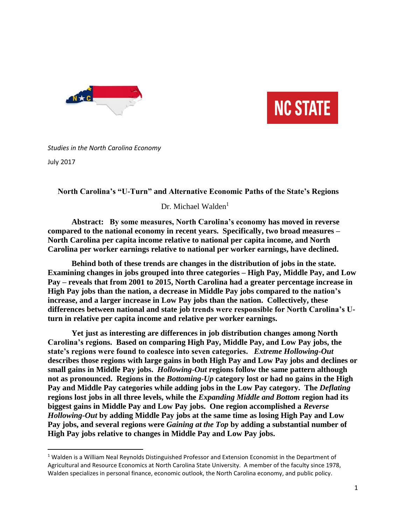



## *Studies in the North Carolina Economy*

July 2017

 $\overline{\phantom{a}}$ 

 **North Carolina's "U-Turn" and Alternative Economic Paths of the State's Regions**

Dr. Michael Walden<sup>1</sup>

**Abstract: By some measures, North Carolina's economy has moved in reverse compared to the national economy in recent years. Specifically, two broad measures – North Carolina per capita income relative to national per capita income, and North Carolina per worker earnings relative to national per worker earnings, have declined.** 

**Behind both of these trends are changes in the distribution of jobs in the state. Examining changes in jobs grouped into three categories – High Pay, Middle Pay, and Low Pay – reveals that from 2001 to 2015, North Carolina had a greater percentage increase in High Pay jobs than the nation, a decrease in Middle Pay jobs compared to the nation's increase, and a larger increase in Low Pay jobs than the nation. Collectively, these differences between national and state job trends were responsible for North Carolina's Uturn in relative per capita income and relative per worker earnings.**

**Yet just as interesting are differences in job distribution changes among North Carolina's regions. Based on comparing High Pay, Middle Pay, and Low Pay jobs, the state's regions were found to coalesce into seven categories.** *Extreme Hollowing-Out* **describes those regions with large gains in both High Pay and Low Pay jobs and declines or small gains in Middle Pay jobs.** *Hollowing-Out* **regions follow the same pattern although not as pronounced. Regions in the** *Bottoming-Up* **category lost or had no gains in the High**  Pay and Middle Pay categories while adding jobs in the Low Pay category. The *Deflating* **regions lost jobs in all three levels, while the** *Expanding Middle and Bottom* **region had its biggest gains in Middle Pay and Low Pay jobs. One region accomplished a** *Reverse Hollowing-Out* **by adding Middle Pay jobs at the same time as losing High Pay and Low Pay jobs, and several regions were** *Gaining at the Top* **by adding a substantial number of High Pay jobs relative to changes in Middle Pay and Low Pay jobs.** 

<sup>&</sup>lt;sup>1</sup> Walden is a William Neal Reynolds Distinguished Professor and Extension Economist in the Department of Agricultural and Resource Economics at North Carolina State University. A member of the faculty since 1978, Walden specializes in personal finance, economic outlook, the North Carolina economy, and public policy.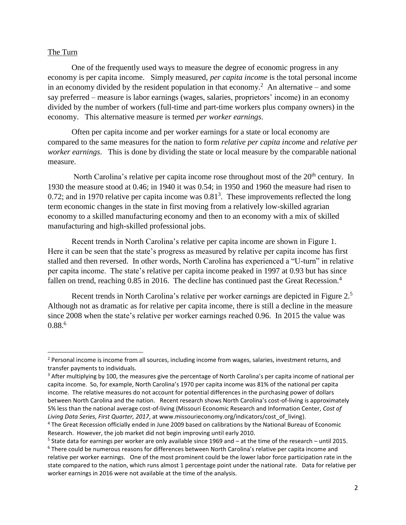### The Turn

 $\overline{\phantom{a}}$ 

One of the frequently used ways to measure the degree of economic progress in any economy is per capita income. Simply measured, *per capita income* is the total personal income in an economy divided by the resident population in that economy.<sup>2</sup> An alternative – and some say preferred – measure is labor earnings (wages, salaries, proprietors' income) in an economy divided by the number of workers (full-time and part-time workers plus company owners) in the economy. This alternative measure is termed *per worker earnings*.

Often per capita income and per worker earnings for a state or local economy are compared to the same measures for the nation to form *relative per capita income* and *relative per worker earnings*. This is done by dividing the state or local measure by the comparable national measure.

North Carolina's relative per capita income rose throughout most of the 20<sup>th</sup> century. In 1930 the measure stood at 0.46; in 1940 it was 0.54; in 1950 and 1960 the measure had risen to 0.72; and in 1970 relative per capita income was  $0.81<sup>3</sup>$ . These improvements reflected the long term economic changes in the state in first moving from a relatively low-skilled agrarian economy to a skilled manufacturing economy and then to an economy with a mix of skilled manufacturing and high-skilled professional jobs.

Recent trends in North Carolina's relative per capita income are shown in Figure 1. Here it can be seen that the state's progress as measured by relative per capita income has first stalled and then reversed. In other words, North Carolina has experienced a "U-turn" in relative per capita income. The state's relative per capita income peaked in 1997 at 0.93 but has since fallen on trend, reaching 0.85 in 2016. The decline has continued past the Great Recession.<sup>4</sup>

Recent trends in North Carolina's relative per worker earnings are depicted in Figure 2.<sup>5</sup> Although not as dramatic as for relative per capita income, there is still a decline in the measure since 2008 when the state's relative per worker earnings reached 0.96. In 2015 the value was  $0.88^{6}$ 

<sup>&</sup>lt;sup>2</sup> Personal income is income from all sources, including income from wages, salaries, investment returns, and transfer payments to individuals.

<sup>&</sup>lt;sup>3</sup> After multiplying by 100, the measures give the percentage of North Carolina's per capita income of national per capita income. So, for example, North Carolina's 1970 per capita income was 81% of the national per capita income. The relative measures do not account for potential differences in the purchasing power of dollars between North Carolina and the nation. Recent research shows North Carolina's cost-of-living is approximately 5% less than the national average cost-of-living (Missouri Economic Research and Information Center, *Cost of Living Data Series, First Quarter, 2017*, at www.missourieconomy.org/indicators/cost\_of\_living).

<sup>4</sup> The Great Recession officially ended in June 2009 based on calibrations by the National Bureau of Economic Research. However, the job market did not begin improving until early 2010.

<sup>5</sup> State data for earnings per worker are only available since 1969 and – at the time of the research – until 2015.

<sup>6</sup> There could be numerous reasons for differences between North Carolina's relative per capita income and relative per worker earnings. One of the most prominent could be the lower labor force participation rate in the state compared to the nation, which runs almost 1 percentage point under the national rate. Data for relative per worker earnings in 2016 were not available at the time of the analysis.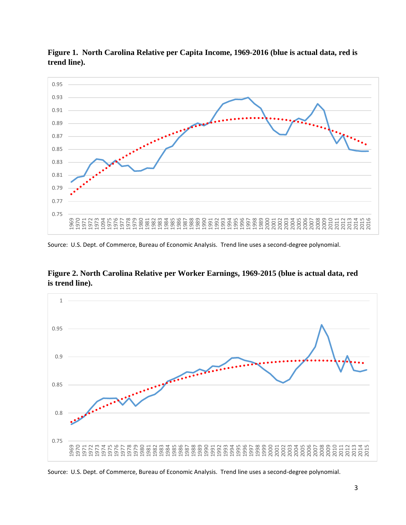

**Figure 1. North Carolina Relative per Capita Income, 1969-2016 (blue is actual data, red is trend line).**

Source: U.S. Dept. of Commerce, Bureau of Economic Analysis. Trend line uses a second-degree polynomial.





Source: U.S. Dept. of Commerce, Bureau of Economic Analysis. Trend line uses a second-degree polynomial.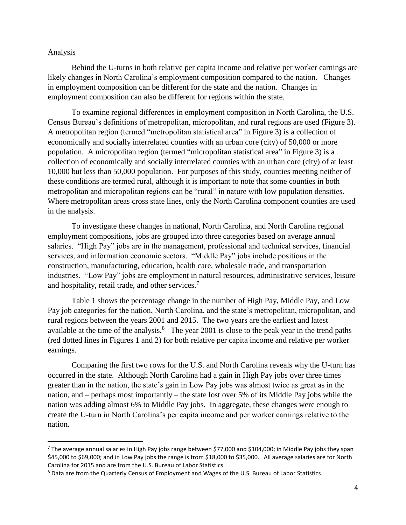### Analysis

 $\overline{a}$ 

Behind the U-turns in both relative per capita income and relative per worker earnings are likely changes in North Carolina's employment composition compared to the nation. Changes in employment composition can be different for the state and the nation. Changes in employment composition can also be different for regions within the state.

To examine regional differences in employment composition in North Carolina, the U.S. Census Bureau's definitions of metropolitan, micropolitan, and rural regions are used (Figure 3). A metropolitan region (termed "metropolitan statistical area" in Figure 3) is a collection of economically and socially interrelated counties with an urban core (city) of 50,000 or more population. A micropolitan region (termed "micropolitan statistical area" in Figure 3) is a collection of economically and socially interrelated counties with an urban core (city) of at least 10,000 but less than 50,000 population. For purposes of this study, counties meeting neither of these conditions are termed rural, although it is important to note that some counties in both metropolitan and micropolitan regions can be "rural" in nature with low population densities. Where metropolitan areas cross state lines, only the North Carolina component counties are used in the analysis.

To investigate these changes in national, North Carolina, and North Carolina regional employment compositions, jobs are grouped into three categories based on average annual salaries. "High Pay" jobs are in the management, professional and technical services, financial services, and information economic sectors. "Middle Pay" jobs include positions in the construction, manufacturing, education, health care, wholesale trade, and transportation industries. "Low Pay" jobs are employment in natural resources, administrative services, leisure and hospitality, retail trade, and other services.<sup>7</sup>

Table 1 shows the percentage change in the number of High Pay, Middle Pay, and Low Pay job categories for the nation, North Carolina, and the state's metropolitan, micropolitan, and rural regions between the years 2001 and 2015. The two years are the earliest and latest available at the time of the analysis. $8$  The year 2001 is close to the peak year in the trend paths (red dotted lines in Figures 1 and 2) for both relative per capita income and relative per worker earnings.

Comparing the first two rows for the U.S. and North Carolina reveals why the U-turn has occurred in the state. Although North Carolina had a gain in High Pay jobs over three times greater than in the nation, the state's gain in Low Pay jobs was almost twice as great as in the nation, and – perhaps most importantly – the state lost over 5% of its Middle Pay jobs while the nation was adding almost 6% to Middle Pay jobs. In aggregate, these changes were enough to create the U-turn in North Carolina's per capita income and per worker earnings relative to the nation.

<sup>&</sup>lt;sup>7</sup> The average annual salaries in High Pay jobs range between \$77,000 and \$104,000; in Middle Pay jobs they span \$45,000 to \$69,000; and in Low Pay jobs the range is from \$18,000 to \$35,000. All average salaries are for North Carolina for 2015 and are from the U.S. Bureau of Labor Statistics.

<sup>&</sup>lt;sup>8</sup> Data are from the Quarterly Census of Employment and Wages of the U.S. Bureau of Labor Statistics.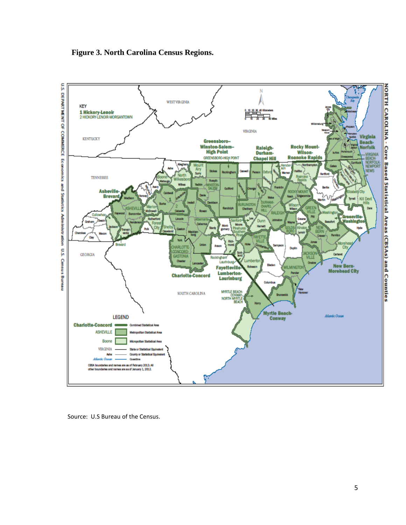





5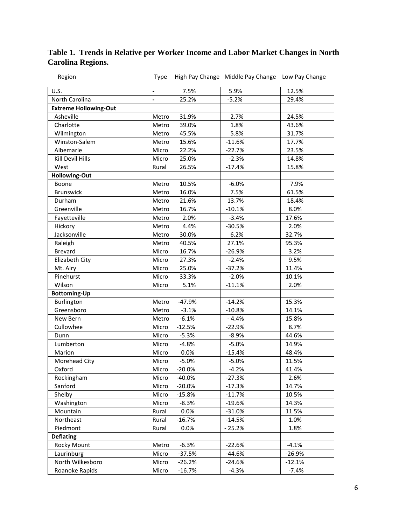# **Table 1. Trends in Relative per Worker Income and Labor Market Changes in North Carolina Regions.**

| Region                       | Type           |          | High Pay Change Middle Pay Change Low Pay Change |          |
|------------------------------|----------------|----------|--------------------------------------------------|----------|
| U.S.                         | $\blacksquare$ | 7.5%     | 5.9%                                             | 12.5%    |
| North Carolina               |                | 25.2%    | $-5.2%$                                          | 29.4%    |
| <b>Extreme Hollowing-Out</b> |                |          |                                                  |          |
| Asheville                    | Metro          | 31.9%    | 2.7%                                             | 24.5%    |
| Charlotte                    | Metro          | 39.0%    | 1.8%                                             | 43.6%    |
| Wilmington                   | Metro          | 45.5%    | 5.8%                                             | 31.7%    |
| Winston-Salem                | Metro          | 15.6%    | $-11.6%$                                         | 17.7%    |
| Albemarle                    | Micro          | 22.2%    | $-22.7%$                                         | 23.5%    |
| Kill Devil Hills             | Micro          | 25.0%    | $-2.3%$                                          | 14.8%    |
| West                         | Rural          | 26.5%    | $-17.4%$                                         | 15.8%    |
| <b>Hollowing-Out</b>         |                |          |                                                  |          |
| Boone                        | Metro          | 10.5%    | $-6.0%$                                          | 7.9%     |
| <b>Brunswick</b>             | Metro          | 16.0%    | 7.5%                                             | 61.5%    |
| Durham                       | Metro          | 21.6%    | 13.7%                                            | 18.4%    |
| Greenville                   | Metro          | 16.7%    | $-10.1%$                                         | 8.0%     |
| Fayetteville                 | Metro          | 2.0%     | $-3.4%$                                          | 17.6%    |
| Hickory                      | Metro          | 4.4%     | $-30.5%$                                         | 2.0%     |
| Jacksonville                 | Metro          | 30.0%    | 6.2%                                             | 32.7%    |
| Raleigh                      | Metro          | 40.5%    | 27.1%                                            | 95.3%    |
| <b>Brevard</b>               | Micro          | 16.7%    | $-26.9%$                                         | 3.2%     |
| Elizabeth City               | Micro          | 27.3%    | $-2.4%$                                          | 9.5%     |
| Mt. Airy                     | Micro          | 25.0%    | $-37.2%$                                         | 11.4%    |
| Pinehurst                    | Micro          | 33.3%    | $-2.0%$                                          | 10.1%    |
| Wilson                       | Micro          | 5.1%     | $-11.1%$                                         | 2.0%     |
| <b>Bottoming-Up</b>          |                |          |                                                  |          |
| Burlington                   | Metro          | $-47.9%$ | $-14.2%$                                         | 15.3%    |
| Greensboro                   | Metro          | $-3.1%$  | $-10.8%$                                         | 14.1%    |
| New Bern                     | Metro          | $-6.1%$  | $-4.4%$                                          | 15.8%    |
| Cullowhee                    | Micro          | $-12.5%$ | $-22.9%$                                         | 8.7%     |
| Dunn                         | Micro          | $-5.3%$  | $-8.9%$                                          | 44.6%    |
| Lumberton                    | Micro          | $-4.8%$  | $-5.0%$                                          | 14.9%    |
| Marion                       | Micro          | 0.0%     | $-15.4%$                                         | 48.4%    |
| Morehead City                | Micro          | $-5.0%$  | $-5.0%$                                          | 11.5%    |
| Oxford                       | Micro          | $-20.0%$ | $-4.2%$                                          | 41.4%    |
| Rockingham                   | Micro          | $-40.0%$ | $-27.3%$                                         | 2.6%     |
| Sanford                      | Micro          | $-20.0%$ | $-17.3%$                                         | 14.7%    |
| Shelby                       | Micro          | $-15.8%$ | $-11.7%$                                         | 10.5%    |
| Washington                   | Micro          | $-8.3%$  | $-19.6%$                                         | 14.3%    |
| Mountain                     | Rural          | 0.0%     | $-31.0%$                                         | 11.5%    |
| Northeast                    | Rural          | $-16.7%$ | $-14.5%$                                         | 1.0%     |
| Piedmont                     | Rural          | 0.0%     | $-25.2%$                                         | 1.8%     |
| <b>Deflating</b>             |                |          |                                                  |          |
| <b>Rocky Mount</b>           | Metro          | $-6.3%$  | $-22.6%$                                         | $-4.1%$  |
| Laurinburg                   | Micro          | $-37.5%$ | $-44.6%$                                         | $-26.9%$ |
| North Wilkesboro             | Micro          | $-26.2%$ | $-24.6%$                                         | $-12.1%$ |
| Roanoke Rapids               | Micro          | $-16.7%$ | $-4.3%$                                          | $-7.4%$  |
|                              |                |          |                                                  |          |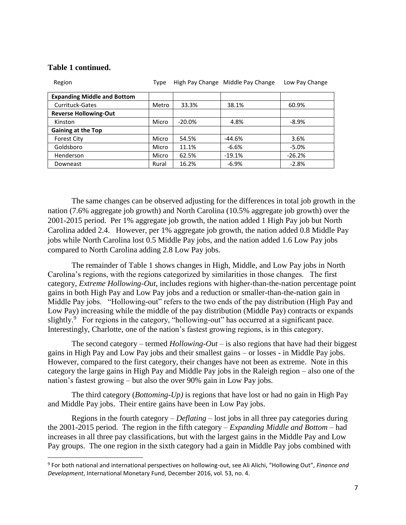| Region                             | Type  |          | High Pay Change Middle Pay Change | Low Pay Change |
|------------------------------------|-------|----------|-----------------------------------|----------------|
| <b>Expanding Middle and Bottom</b> |       |          |                                   |                |
| <b>Currituck-Gates</b>             | Metro | 33.3%    | 38.1%                             | 60.9%          |
| <b>Reverse Hollowing-Out</b>       |       |          |                                   |                |
| Kinston                            | Micro | $-20.0%$ | 4.8%                              | $-8.9%$        |
| <b>Gaining at the Top</b>          |       |          |                                   |                |
| <b>Forest City</b>                 | Micro | 54.5%    | $-44.6%$                          | 3.6%           |
| Goldsboro                          | Micro | 11.1%    | $-6.6%$                           | $-5.0%$        |
| Henderson                          | Micro | 62.5%    | $-19.1%$                          | $-26.2%$       |
| Downeast                           | Rural | 16.2%    | $-6.9%$                           | $-2.8%$        |

### **Table 1 continued.**

l

The same changes can be observed adjusting for the differences in total job growth in the nation (7.6% aggregate job growth) and North Carolina (10.5% aggregate job growth) over the 2001-2015 period. Per 1% aggregate job growth, the nation added 1 High Pay job but North Carolina added 2.4. However, per 1% aggregate job growth, the nation added 0.8 Middle Pay jobs while North Carolina lost 0.5 Middle Pay jobs, and the nation added 1.6 Low Pay jobs compared to North Carolina adding 2.8 Low Pay jobs.

The remainder of Table 1 shows changes in High, Middle, and Low Pay jobs in North Carolina's regions, with the regions categorized by similarities in those changes. The first category, *Extreme Hollowing-Out*, includes regions with higher-than-the-nation percentage point gains in both High Pay and Low Pay jobs and a reduction or smaller-than-the-nation gain in Middle Pay jobs. "Hollowing-out" refers to the two ends of the pay distribution (High Pay and Low Pay) increasing while the middle of the pay distribution (Middle Pay) contracts or expands slightly.<sup>9</sup> For regions in the category, "hollowing-out" has occurred at a significant pace. Interestingly, Charlotte, one of the nation's fastest growing regions, is in this category.

The second category – termed *Hollowing-Out* – is also regions that have had their biggest gains in High Pay and Low Pay jobs and their smallest gains – or losses - in Middle Pay jobs. However, compared to the first category, their changes have not been as extreme. Note in this category the large gains in High Pay and Middle Pay jobs in the Raleigh region – also one of the nation's fastest growing – but also the over 90% gain in Low Pay jobs.

The third category (*Bottoming-Up)* is regions that have lost or had no gain in High Pay and Middle Pay jobs. Their entire gains have been in Low Pay jobs.

Regions in the fourth category – *Deflating* – lost jobs in all three pay categories during the 2001-2015 period. The region in the fifth category – *Expanding Middle and Bottom* – had increases in all three pay classifications, but with the largest gains in the Middle Pay and Low Pay groups. The one region in the sixth category had a gain in Middle Pay jobs combined with

<sup>9</sup> For both national and international perspectives on hollowing-out, see Ali Alichi, "Hollowing Out", *Finance and Development*, International Monetary Fund, December 2016, vol. 53, no. 4.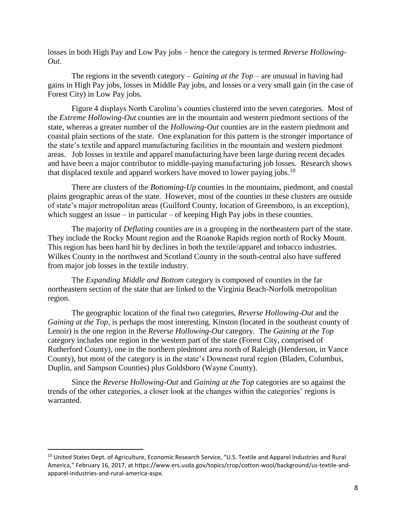losses in both High Pay and Low Pay jobs – hence the category is termed *Reverse Hollowing-Out.*

The regions in the seventh category – *Gaining at the Top* – are unusual in having had gains in High Pay jobs, losses in Middle Pay jobs, and losses or a very small gain (in the case of Forest City) in Low Pay jobs.

Figure 4 displays North Carolina's counties clustered into the seven categories. Most of the *Extreme Hollowing-Out* counties are in the mountain and western piedmont sections of the state, whereas a greater number of the *Hollowing-Out* counties are in the eastern piedmont and coastal plain sections of the state. One explanation for this pattern is the stronger importance of the state's textile and apparel manufacturing facilities in the mountain and western piedmont areas. Job losses in textile and apparel manufacturing have been large during recent decades and have been a major contributor to middle-paying manufacturing job losses. Research shows that displaced textile and apparel workers have moved to lower paying jobs.<sup>10</sup>

There are clusters of the *Bottoming-Up* counties in the mountains, piedmont, and coastal plains geographic areas of the state. However, most of the counties in these clusters are outside of state's major metropolitan areas (Guilford County, location of Greensboro, is an exception), which suggest an issue – in particular – of keeping High Pay jobs in these counties.

The majority of *Deflating* counties are in a grouping in the northeastern part of the state. They include the Rocky Mount region and the Roanoke Rapids region north of Rocky Mount. This region has been hard hit by declines in both the textile/apparel and tobacco industries. Wilkes County in the northwest and Scotland County in the south-central also have suffered from major job losses in the textile industry.

The *Expanding Middle and Bottom* category is composed of counties in the far northeastern section of the state that are linked to the Virginia Beach-Norfolk metropolitan region.

The geographic location of the final two categories, *Reverse Hollowing-Out* and the *Gaining at the Top*, is perhaps the most interesting. Kinston (located in the southeast county of Lenoir) is the one region in the *Reverse Hollowing-Out* category. The *Gaining at the Top* category includes one region in the western part of the state (Forest City, comprised of Rutherford County), one in the northern piedmont area north of Raleigh (Henderson, in Vance County), but most of the category is in the state's Downeast rural region (Bladen, Columbus, Duplin, and Sampson Counties) plus Goldsboro (Wayne County).

Since the *Reverse Hollowing-Out* and *Gaining at the Top* categories are so against the trends of the other categories, a closer look at the changes within the categories' regions is warranted.

 $\overline{\phantom{a}}$ 

<sup>&</sup>lt;sup>10</sup> United States Dept. of Agriculture, Economic Research Service, "U.S. Textile and Apparel Industries and Rural America," February 16, 2017, at https://www.ers.usda.gov/topics/crop/cotton-wool/background/us-textile-andapparel-industries-and-rural-america-aspx.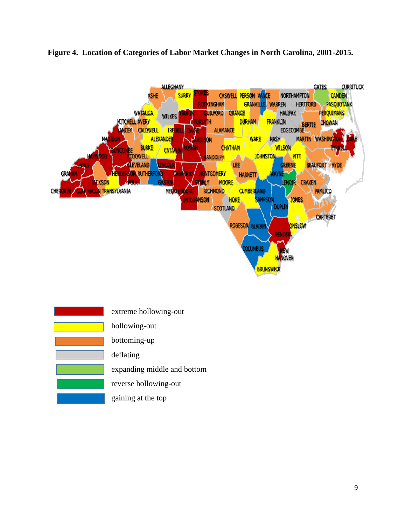

### **Figure 4. Location of Categories of Labor Market Changes in North Carolina, 2001-2015.**

| extreme hollowing-out       |
|-----------------------------|
| hollowing-out               |
| bottoming-up                |
| deflating                   |
| expanding middle and bottom |
| reverse hollowing-out       |
| gaining at the top          |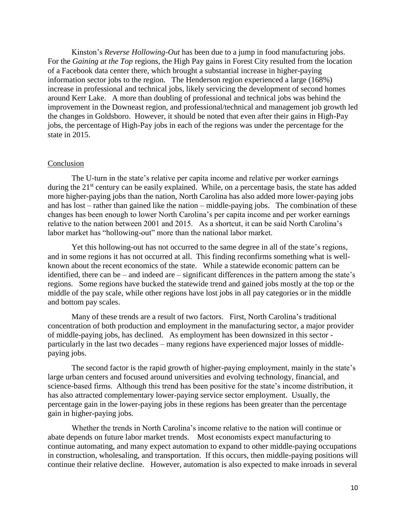Kinston's *Reverse Hollowing-Out* has been due to a jump in food manufacturing jobs. For the *Gaining at the Top* regions, the High Pay gains in Forest City resulted from the location of a Facebook data center there, which brought a substantial increase in higher-paying information sector jobs to the region. The Henderson region experienced a large (168%) increase in professional and technical jobs, likely servicing the development of second homes around Kerr Lake. A more than doubling of professional and technical jobs was behind the improvement in the Downeast region, and professional/technical and management job growth led the changes in Goldsboro. However, it should be noted that even after their gains in High-Pay jobs, the percentage of High-Pay jobs in each of the regions was under the percentage for the state in 2015.

### Conclusion

The U-turn in the state's relative per capita income and relative per worker earnings during the 21<sup>st</sup> century can be easily explained. While, on a percentage basis, the state has added more higher-paying jobs than the nation, North Carolina has also added more lower-paying jobs and has lost – rather than gained like the nation – middle-paying jobs. The combination of these changes has been enough to lower North Carolina's per capita income and per worker earnings relative to the nation between 2001 and 2015. As a shortcut, it can be said North Carolina's labor market has "hollowing-out" more than the national labor market.

Yet this hollowing-out has not occurred to the same degree in all of the state's regions, and in some regions it has not occurred at all. This finding reconfirms something what is wellknown about the recent economics of the state. While a statewide economic pattern can be identified, there can be – and indeed are – significant differences in the pattern among the state's regions. Some regions have bucked the statewide trend and gained jobs mostly at the top or the middle of the pay scale, while other regions have lost jobs in all pay categories or in the middle and bottom pay scales.

Many of these trends are a result of two factors. First, North Carolina's traditional concentration of both production and employment in the manufacturing sector, a major provider of middle-paying jobs, has declined. As employment has been downsized in this sector particularly in the last two decades – many regions have experienced major losses of middlepaying jobs.

The second factor is the rapid growth of higher-paying employment, mainly in the state's large urban centers and focused around universities and evolving technology, financial, and science-based firms. Although this trend has been positive for the state's income distribution, it has also attracted complementary lower-paying service sector employment. Usually, the percentage gain in the lower-paying jobs in these regions has been greater than the percentage gain in higher-paying jobs.

Whether the trends in North Carolina's income relative to the nation will continue or abate depends on future labor market trends. Most economists expect manufacturing to continue automating, and many expect automation to expand to other middle-paying occupations in construction, wholesaling, and transportation. If this occurs, then middle-paying positions will continue their relative decline. However, automation is also expected to make inroads in several